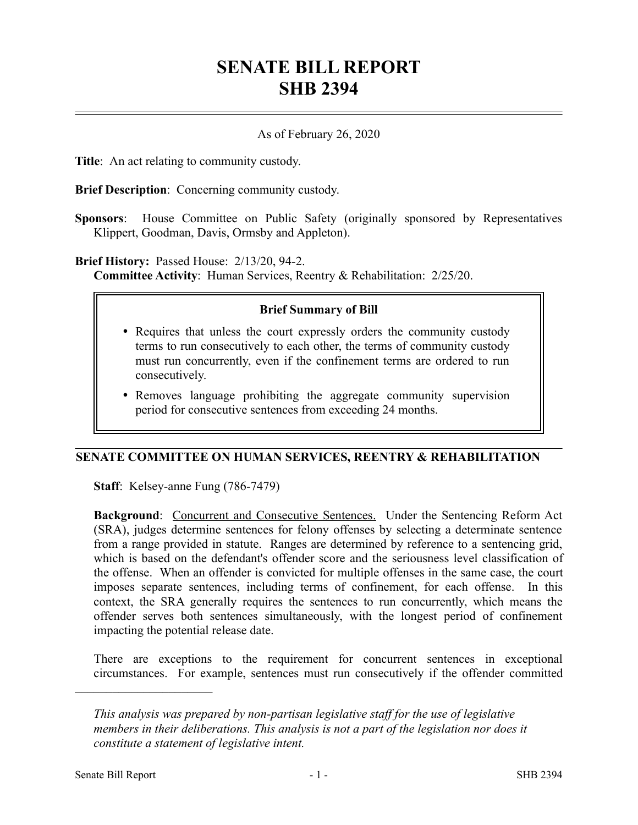# **SENATE BILL REPORT SHB 2394**

## As of February 26, 2020

**Title**: An act relating to community custody.

**Brief Description**: Concerning community custody.

**Sponsors**: House Committee on Public Safety (originally sponsored by Representatives Klippert, Goodman, Davis, Ormsby and Appleton).

#### **Brief History:** Passed House: 2/13/20, 94-2.

**Committee Activity**: Human Services, Reentry & Rehabilitation: 2/25/20.

#### **Brief Summary of Bill**

- Requires that unless the court expressly orders the community custody terms to run consecutively to each other, the terms of community custody must run concurrently, even if the confinement terms are ordered to run consecutively.
- Removes language prohibiting the aggregate community supervision period for consecutive sentences from exceeding 24 months.

## **SENATE COMMITTEE ON HUMAN SERVICES, REENTRY & REHABILITATION**

**Staff**: Kelsey-anne Fung (786-7479)

Background: Concurrent and Consecutive Sentences. Under the Sentencing Reform Act (SRA), judges determine sentences for felony offenses by selecting a determinate sentence from a range provided in statute. Ranges are determined by reference to a sentencing grid, which is based on the defendant's offender score and the seriousness level classification of the offense. When an offender is convicted for multiple offenses in the same case, the court imposes separate sentences, including terms of confinement, for each offense. In this context, the SRA generally requires the sentences to run concurrently, which means the offender serves both sentences simultaneously, with the longest period of confinement impacting the potential release date.

There are exceptions to the requirement for concurrent sentences in exceptional circumstances. For example, sentences must run consecutively if the offender committed

––––––––––––––––––––––

*This analysis was prepared by non-partisan legislative staff for the use of legislative members in their deliberations. This analysis is not a part of the legislation nor does it constitute a statement of legislative intent.*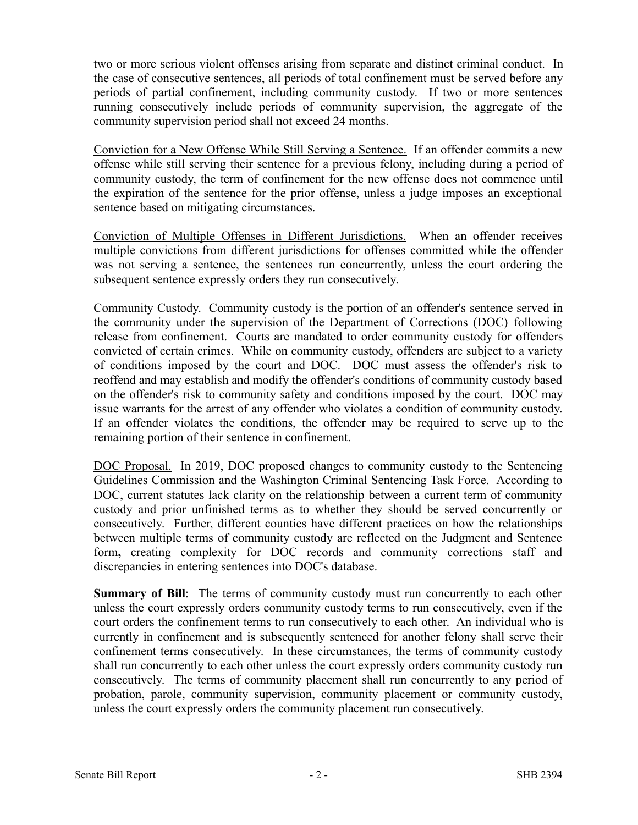two or more serious violent offenses arising from separate and distinct criminal conduct. In the case of consecutive sentences, all periods of total confinement must be served before any periods of partial confinement, including community custody. If two or more sentences running consecutively include periods of community supervision, the aggregate of the community supervision period shall not exceed 24 months.

Conviction for a New Offense While Still Serving a Sentence. If an offender commits a new offense while still serving their sentence for a previous felony, including during a period of community custody, the term of confinement for the new offense does not commence until the expiration of the sentence for the prior offense, unless a judge imposes an exceptional sentence based on mitigating circumstances.

Conviction of Multiple Offenses in Different Jurisdictions. When an offender receives multiple convictions from different jurisdictions for offenses committed while the offender was not serving a sentence, the sentences run concurrently, unless the court ordering the subsequent sentence expressly orders they run consecutively.

Community Custody. Community custody is the portion of an offender's sentence served in the community under the supervision of the Department of Corrections (DOC) following release from confinement. Courts are mandated to order community custody for offenders convicted of certain crimes. While on community custody, offenders are subject to a variety of conditions imposed by the court and DOC. DOC must assess the offender's risk to reoffend and may establish and modify the offender's conditions of community custody based on the offender's risk to community safety and conditions imposed by the court. DOC may issue warrants for the arrest of any offender who violates a condition of community custody. If an offender violates the conditions, the offender may be required to serve up to the remaining portion of their sentence in confinement.

DOC Proposal. In 2019, DOC proposed changes to community custody to the Sentencing Guidelines Commission and the Washington Criminal Sentencing Task Force. According to DOC, current statutes lack clarity on the relationship between a current term of community custody and prior unfinished terms as to whether they should be served concurrently or consecutively. Further, different counties have different practices on how the relationships between multiple terms of community custody are reflected on the Judgment and Sentence form**,** creating complexity for DOC records and community corrections staff and discrepancies in entering sentences into DOC's database.

**Summary of Bill:** The terms of community custody must run concurrently to each other unless the court expressly orders community custody terms to run consecutively, even if the court orders the confinement terms to run consecutively to each other. An individual who is currently in confinement and is subsequently sentenced for another felony shall serve their confinement terms consecutively. In these circumstances, the terms of community custody shall run concurrently to each other unless the court expressly orders community custody run consecutively. The terms of community placement shall run concurrently to any period of probation, parole, community supervision, community placement or community custody, unless the court expressly orders the community placement run consecutively.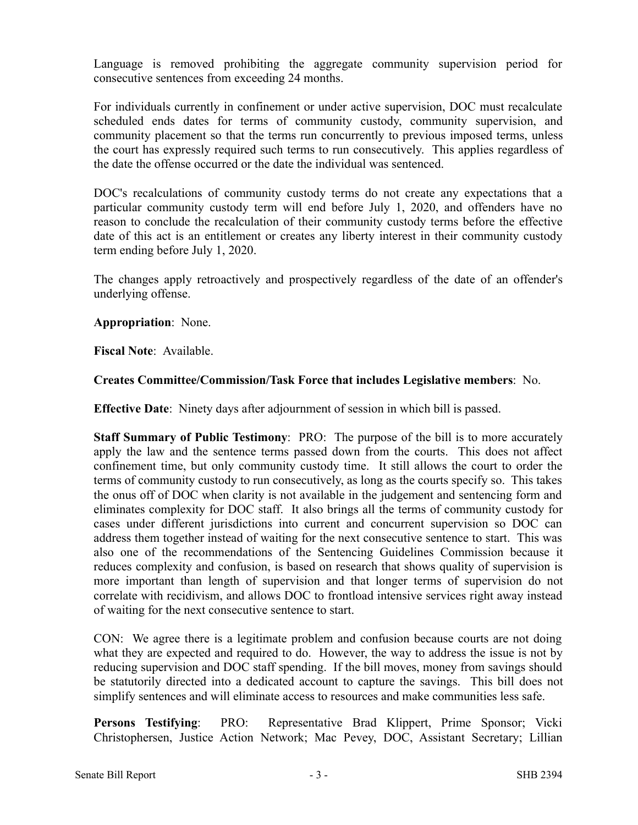Language is removed prohibiting the aggregate community supervision period for consecutive sentences from exceeding 24 months.

For individuals currently in confinement or under active supervision, DOC must recalculate scheduled ends dates for terms of community custody, community supervision, and community placement so that the terms run concurrently to previous imposed terms, unless the court has expressly required such terms to run consecutively. This applies regardless of the date the offense occurred or the date the individual was sentenced.

DOC's recalculations of community custody terms do not create any expectations that a particular community custody term will end before July 1, 2020, and offenders have no reason to conclude the recalculation of their community custody terms before the effective date of this act is an entitlement or creates any liberty interest in their community custody term ending before July 1, 2020.

The changes apply retroactively and prospectively regardless of the date of an offender's underlying offense.

**Appropriation**: None.

**Fiscal Note**: Available.

# **Creates Committee/Commission/Task Force that includes Legislative members**: No.

**Effective Date**: Ninety days after adjournment of session in which bill is passed.

**Staff Summary of Public Testimony**: PRO: The purpose of the bill is to more accurately apply the law and the sentence terms passed down from the courts. This does not affect confinement time, but only community custody time. It still allows the court to order the terms of community custody to run consecutively, as long as the courts specify so. This takes the onus off of DOC when clarity is not available in the judgement and sentencing form and eliminates complexity for DOC staff. It also brings all the terms of community custody for cases under different jurisdictions into current and concurrent supervision so DOC can address them together instead of waiting for the next consecutive sentence to start. This was also one of the recommendations of the Sentencing Guidelines Commission because it reduces complexity and confusion, is based on research that shows quality of supervision is more important than length of supervision and that longer terms of supervision do not correlate with recidivism, and allows DOC to frontload intensive services right away instead of waiting for the next consecutive sentence to start.

CON: We agree there is a legitimate problem and confusion because courts are not doing what they are expected and required to do. However, the way to address the issue is not by reducing supervision and DOC staff spending. If the bill moves, money from savings should be statutorily directed into a dedicated account to capture the savings. This bill does not simplify sentences and will eliminate access to resources and make communities less safe.

**Persons Testifying**: PRO: Representative Brad Klippert, Prime Sponsor; Vicki Christophersen, Justice Action Network; Mac Pevey, DOC, Assistant Secretary; Lillian